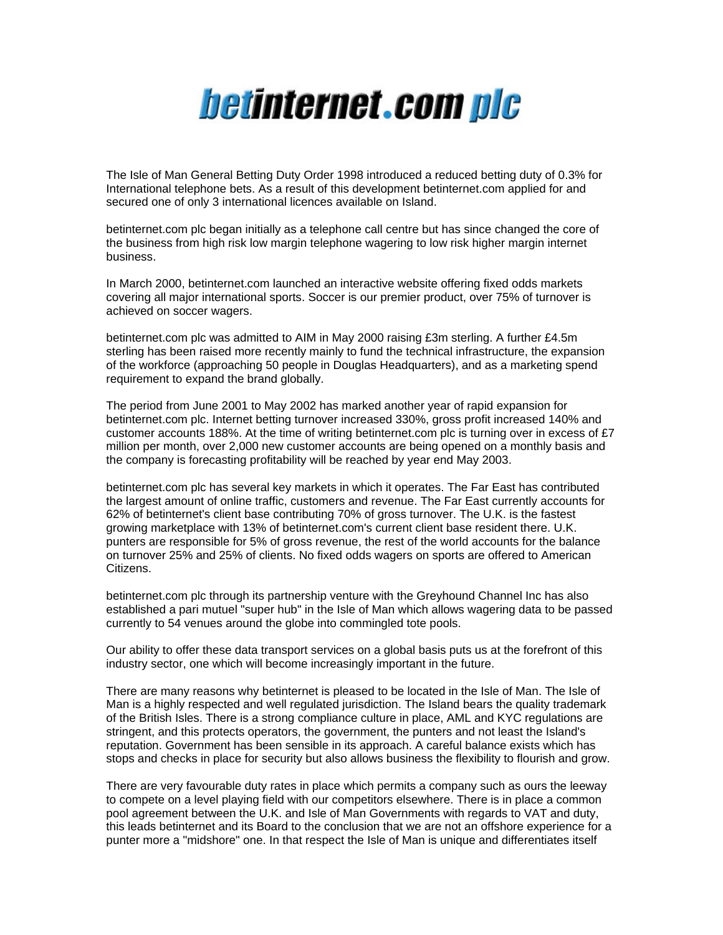

The Isle of Man General Betting Duty Order 1998 introduced a reduced betting duty of 0.3% for International telephone bets. As a result of this development betinternet.com applied for and secured one of only 3 international licences available on Island.

betinternet.com plc began initially as a telephone call centre but has since changed the core of the business from high risk low margin telephone wagering to low risk higher margin internet business.

In March 2000, betinternet.com launched an interactive website offering fixed odds markets covering all major international sports. Soccer is our premier product, over 75% of turnover is achieved on soccer wagers.

betinternet.com plc was admitted to AIM in May 2000 raising £3m sterling. A further £4.5m sterling has been raised more recently mainly to fund the technical infrastructure, the expansion of the workforce (approaching 50 people in Douglas Headquarters), and as a marketing spend requirement to expand the brand globally.

The period from June 2001 to May 2002 has marked another year of rapid expansion for betinternet.com plc. Internet betting turnover increased 330%, gross profit increased 140% and customer accounts 188%. At the time of writing betinternet.com plc is turning over in excess of £7 million per month, over 2,000 new customer accounts are being opened on a monthly basis and the company is forecasting profitability will be reached by year end May 2003.

betinternet.com plc has several key markets in which it operates. The Far East has contributed the largest amount of online traffic, customers and revenue. The Far East currently accounts for 62% of betinternet's client base contributing 70% of gross turnover. The U.K. is the fastest growing marketplace with 13% of betinternet.com's current client base resident there. U.K. punters are responsible for 5% of gross revenue, the rest of the world accounts for the balance on turnover 25% and 25% of clients. No fixed odds wagers on sports are offered to American Citizens.

betinternet.com plc through its partnership venture with the Greyhound Channel Inc has also established a pari mutuel "super hub" in the Isle of Man which allows wagering data to be passed currently to 54 venues around the globe into commingled tote pools.

Our ability to offer these data transport services on a global basis puts us at the forefront of this industry sector, one which will become increasingly important in the future.

There are many reasons why betinternet is pleased to be located in the Isle of Man. The Isle of Man is a highly respected and well regulated jurisdiction. The Island bears the quality trademark of the British Isles. There is a strong compliance culture in place, AML and KYC regulations are stringent, and this protects operators, the government, the punters and not least the Island's reputation. Government has been sensible in its approach. A careful balance exists which has stops and checks in place for security but also allows business the flexibility to flourish and grow.

There are very favourable duty rates in place which permits a company such as ours the leeway to compete on a level playing field with our competitors elsewhere. There is in place a common pool agreement between the U.K. and Isle of Man Governments with regards to VAT and duty, this leads betinternet and its Board to the conclusion that we are not an offshore experience for a punter more a "midshore" one. In that respect the Isle of Man is unique and differentiates itself